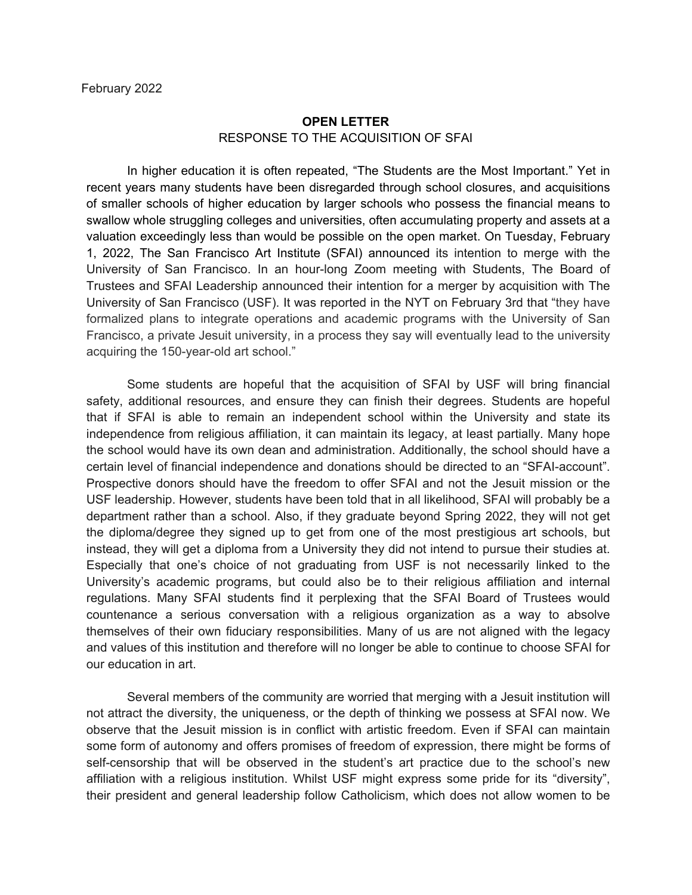## **OPEN LETTER** RESPONSE TO THE ACQUISITION OF SFAI

In higher education it is often repeated, "The Students are the Most Important." Yet in recent years many students have been disregarded through school closures, and acquisitions of smaller schools of higher education by larger schools who possess the financial means to swallow whole struggling colleges and universities, often accumulating property and assets at a valuation exceedingly less than would be possible on the open market. On Tuesday, February 1, 2022, The San Francisco Art Institute (SFAI) announced its intention to merge with the University of San Francisco. In an hour-long Zoom meeting with Students, The Board of Trustees and SFAI Leadership announced their intention for a merger by acquisition with The University of San Francisco (USF). It was reported in the NYT on February 3rd that "they have formalized plans to integrate operations and academic programs with the University of San Francisco, a private Jesuit university, in a process they say will eventually lead to the university acquiring the 150-year-old art school."

Some students are hopeful that the acquisition of SFAI by USF will bring financial safety, additional resources, and ensure they can finish their degrees. Students are hopeful that if SFAI is able to remain an independent school within the University and state its independence from religious affiliation, it can maintain its legacy, at least partially. Many hope the school would have its own dean and administration. Additionally, the school should have a certain level of financial independence and donations should be directed to an "SFAI-account". Prospective donors should have the freedom to offer SFAI and not the Jesuit mission or the USF leadership. However, students have been told that in all likelihood, SFAI will probably be a department rather than a school. Also, if they graduate beyond Spring 2022, they will not get the diploma/degree they signed up to get from one of the most prestigious art schools, but instead, they will get a diploma from a University they did not intend to pursue their studies at. Especially that one's choice of not graduating from USF is not necessarily linked to the University's academic programs, but could also be to their religious affiliation and internal regulations. Many SFAI students find it perplexing that the SFAI Board of Trustees would countenance a serious conversation with a religious organization as a way to absolve themselves of their own fiduciary responsibilities. Many of us are not aligned with the legacy and values of this institution and therefore will no longer be able to continue to choose SFAI for our education in art.

Several members of the community are worried that merging with a Jesuit institution will not attract the diversity, the uniqueness, or the depth of thinking we possess at SFAI now. We observe that the Jesuit mission is in conflict with artistic freedom. Even if SFAI can maintain some form of autonomy and offers promises of freedom of expression, there might be forms of self-censorship that will be observed in the student's art practice due to the school's new affiliation with a religious institution. Whilst USF might express some pride for its "diversity", their president and general leadership follow Catholicism, which does not allow women to be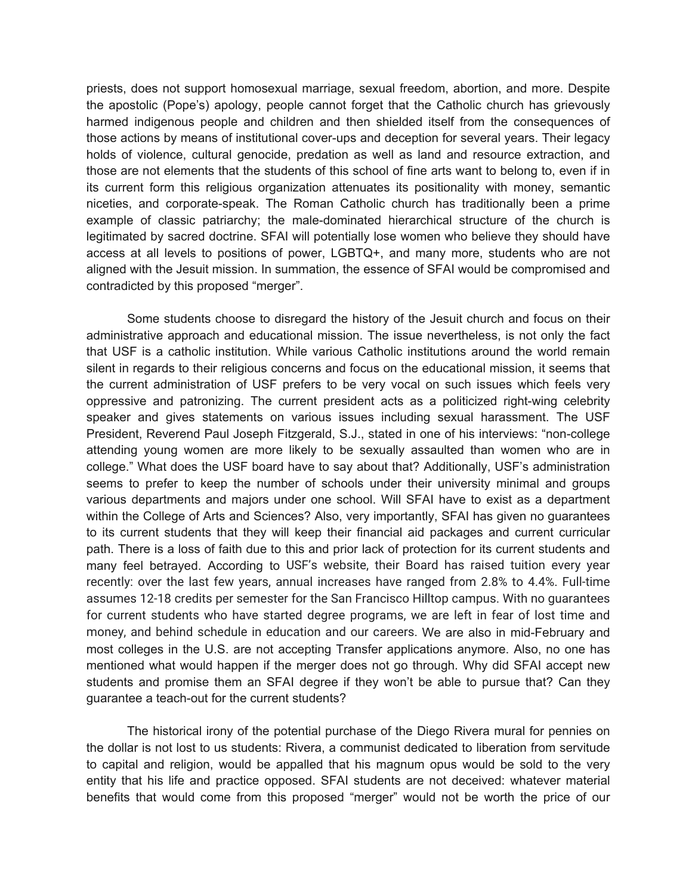priests, does not support homosexual marriage, sexual freedom, abortion, and more. Despite the apostolic (Pope's) apology, people cannot forget that the Catholic church has grievously harmed indigenous people and children and then shielded itself from the consequences of those actions by means of institutional cover-ups and deception for several years. Their legacy holds of violence, cultural genocide, predation as well as land and resource extraction, and those are not elements that the students of this school of fine arts want to belong to, even if in its current form this religious organization attenuates its positionality with money, semantic niceties, and corporate-speak. The Roman Catholic church has traditionally been a prime example of classic patriarchy; the male-dominated hierarchical structure of the church is legitimated by sacred doctrine. SFAI will potentially lose women who believe they should have access at all levels to positions of power, LGBTQ+, and many more, students who are not aligned with the Jesuit mission. In summation, the essence of SFAI would be compromised and contradicted by this proposed "merger".

Some students choose to disregard the history of the Jesuit church and focus on their administrative approach and educational mission. The issue nevertheless, is not only the fact that USF is a catholic institution. While various Catholic institutions around the world remain silent in regards to their religious concerns and focus on the educational mission, it seems that the current administration of USF prefers to be very vocal on such issues which feels very oppressive and patronizing. The current president acts as a politicized right-wing celebrity speaker and gives statements on various issues including sexual harassment. The USF President, Reverend Paul Joseph Fitzgerald, S.J., stated in one of his interviews: "non-college attending young women are more likely to be sexually assaulted than women who are in college." What does the USF board have to say about that? Additionally, USF's administration seems to prefer to keep the number of schools under their university minimal and groups various departments and majors under one school. Will SFAI have to exist as a department within the College of Arts and Sciences? Also, very importantly, SFAI has given no guarantees to its current students that they will keep their financial aid packages and current curricular path. There is a loss of faith due to this and prior lack of protection for its current students and many feel betrayed. According to USF's website, their Board has raised tuition every year recently: over the last few years, annual increases have ranged from 2.8% to 4.4%. Full-time assumes 12-18 credits per semester for the San Francisco Hilltop campus. With no guarantees for current students who have started degree programs, we are left in fear of lost time and money, and behind schedule in education and our careers. We are also in mid-February and most colleges in the U.S. are not accepting Transfer applications anymore. Also, no one has mentioned what would happen if the merger does not go through. Why did SFAI accept new students and promise them an SFAI degree if they won't be able to pursue that? Can they guarantee a teach-out for the current students?

The historical irony of the potential purchase of the Diego Rivera mural for pennies on the dollar is not lost to us students: Rivera, a communist dedicated to liberation from servitude to capital and religion, would be appalled that his magnum opus would be sold to the very entity that his life and practice opposed. SFAI students are not deceived: whatever material benefits that would come from this proposed "merger" would not be worth the price of our